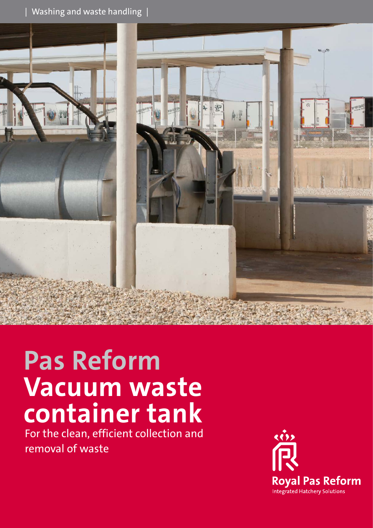### $|$  Washing and waste handling  $|$



# **Pas Reform Vacuum waste container tank**

For the clean, efficient collection and removal of waste